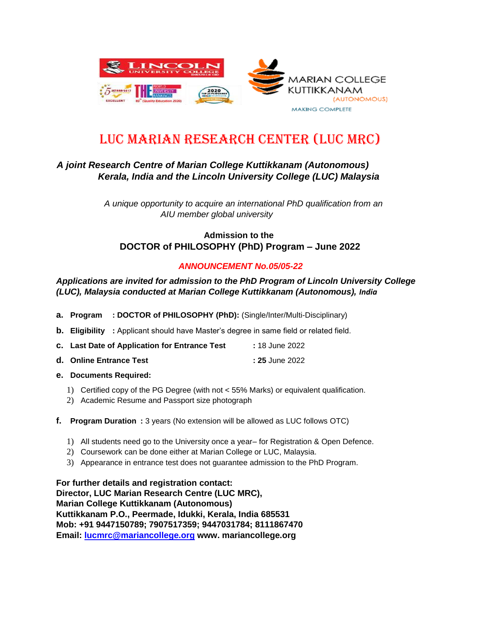

# LUC Marian Research Center (LUC MRC)

## *A joint Research Centre of Marian College Kuttikkanam (Autonomous) Kerala, India and the Lincoln University College (LUC) Malaysia*

*A unique opportunity to acquire an international PhD qualification from an AIU member global university*

### **Admission to the DOCTOR of PHILOSOPHY (PhD) Program – June 2022**

#### *ANNOUNCEMENT No.05/05-22*

#### *Applications are invited for admission to the PhD Program of Lincoln University College (LUC), Malaysia conducted at Marian College Kuttikkanam (Autonomous), India*

- **a. Program : DOCTOR of PHILOSOPHY (PhD):** (Single/Inter/Multi-Disciplinary)
- **b. Eligibility :** Applicant should have Master's degree in same field or related field.
- **c. Last Date of Application for Entrance Test :** 18 June 2022
- **d. Online Entrance Test** : 25 June 2022
- **e. Documents Required:**
	- 1) Certified copy of the PG Degree (with not < 55% Marks) or equivalent qualification.
	- 2) Academic Resume and Passport size photograph
- **f. Program Duration :** 3 years (No extension will be allowed as LUC follows OTC)
	- 1) All students need go to the University once a year– for Registration & Open Defence.
	- 2) Coursework can be done either at Marian College or LUC, Malaysia.
	- 3) Appearance in entrance test does not guarantee admission to the PhD Program.

**For further details and registration contact: Director, LUC Marian Research Centre (LUC MRC), Marian College Kuttikkanam (Autonomous) Kuttikkanam P.O., Peermade, Idukki, Kerala, India 685531 Mob: +91 9447150789; 7907517359; 9447031784; 8111867470 Email: lucmrc@mariancollege.org www. mariancollege.org**